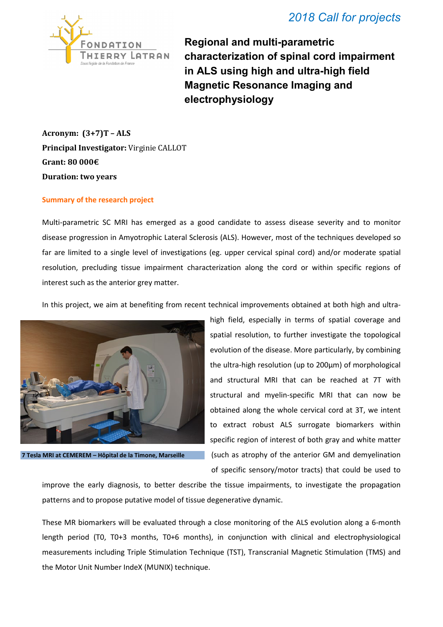

**Regional and multi-parametric characterization of spinal cord impairment in ALS using high and ultra-high field Magnetic Resonance Imaging and electrophysiology** 

**Acronym: (3+7)T – ALS Principal Investigator:** Virginie CALLOT **Grant: 80 000€ Duration: two years**

## **Summary of the research project**

Multi-parametric SC MRI has emerged as a good candidate to assess disease severity and to monitor disease progression in Amyotrophic Lateral Sclerosis (ALS). However, most of the techniques developed so far are limited to a single level of investigations (eg. upper cervical spinal cord) and/or moderate spatial resolution, precluding tissue impairment characterization along the cord or within specific regions of interest such as the anterior grey matter.

In this project, we aim at benefiting from recent technical improvements obtained at both high and ultra-



**7 Tesla MRI at CEMEREM – Hôpital de la Timone, Marseille**

high field, especially in terms of spatial coverage and spatial resolution, to further investigate the topological evolution of the disease. More particularly, by combining the ultra-high resolution (up to 200µm) of morphological and structural MRI that can be reached at 7T with structural and myelin-specific MRI that can now be obtained along the whole cervical cord at 3T, we intent to extract robust ALS surrogate biomarkers within specific region of interest of both gray and white matter (such as atrophy of the anterior GM and demyelination of specific sensory/motor tracts) that could be used to

improve the early diagnosis, to better describe the tissue impairments, to investigate the propagation patterns and to propose putative model of tissue degenerative dynamic.

These MR biomarkers will be evaluated through a close monitoring of the ALS evolution along a 6-month length period (T0, T0+3 months, T0+6 months), in conjunction with clinical and electrophysiological measurements including Triple Stimulation Technique (TST), Transcranial Magnetic Stimulation (TMS) and the Motor Unit Number IndeX (MUNIX) technique.